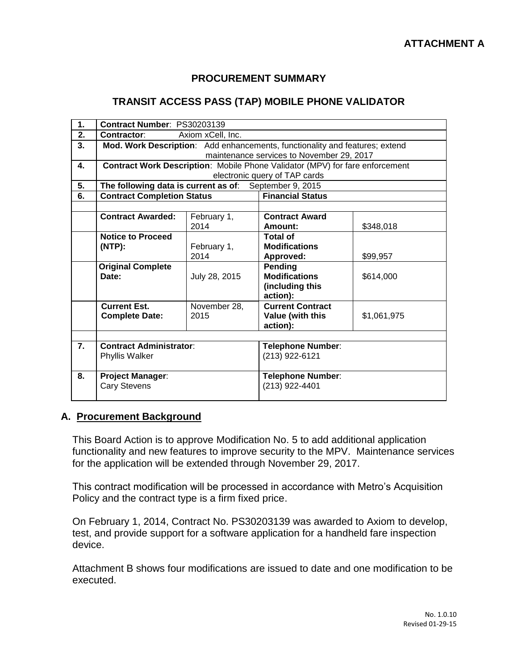### **PROCUREMENT SUMMARY**

#### **TRANSIT ACCESS PASS (TAP) MOBILE PHONE VALIDATOR**

| 1.               | Contract Number: PS30203139                                                  |               |                             |             |  |  |
|------------------|------------------------------------------------------------------------------|---------------|-----------------------------|-------------|--|--|
| 2.               | Axiom xCell, Inc.<br>Contractor:                                             |               |                             |             |  |  |
| 3.               | Mod. Work Description: Add enhancements, functionality and features; extend  |               |                             |             |  |  |
|                  | maintenance services to November 29, 2017                                    |               |                             |             |  |  |
| 4.               | Contract Work Description: Mobile Phone Validator (MPV) for fare enforcement |               |                             |             |  |  |
|                  | electronic query of TAP cards                                                |               |                             |             |  |  |
| 5.               | The following data is current as of: September 9, 2015                       |               |                             |             |  |  |
| 6.               | <b>Contract Completion Status</b>                                            |               | <b>Financial Status</b>     |             |  |  |
|                  |                                                                              |               |                             |             |  |  |
|                  | <b>Contract Awarded:</b>                                                     | February 1,   | <b>Contract Award</b>       |             |  |  |
|                  |                                                                              | 2014          | Amount:                     | \$348,018   |  |  |
|                  | <b>Notice to Proceed</b>                                                     |               | Total of                    |             |  |  |
|                  | (NTP):                                                                       | February 1,   | <b>Modifications</b>        |             |  |  |
|                  |                                                                              | 2014          | Approved:                   | \$99,957    |  |  |
|                  | <b>Original Complete</b>                                                     |               | Pending                     |             |  |  |
|                  | Date:                                                                        | July 28, 2015 | <b>Modifications</b>        | \$614,000   |  |  |
|                  |                                                                              |               | (including this<br>action): |             |  |  |
|                  | <b>Current Est.</b>                                                          | November 28,  | <b>Current Contract</b>     |             |  |  |
|                  | <b>Complete Date:</b>                                                        | 2015          | Value (with this            | \$1,061,975 |  |  |
|                  |                                                                              |               | action):                    |             |  |  |
|                  |                                                                              |               |                             |             |  |  |
| $\overline{7}$ . | <b>Contract Administrator:</b>                                               |               | <b>Telephone Number:</b>    |             |  |  |
|                  | Phyllis Walker                                                               |               | (213) 922-6121              |             |  |  |
|                  |                                                                              |               |                             |             |  |  |
| 8.               | <b>Project Manager:</b>                                                      |               | <b>Telephone Number:</b>    |             |  |  |
|                  | <b>Cary Stevens</b>                                                          |               | (213) 922-4401              |             |  |  |
|                  |                                                                              |               |                             |             |  |  |

#### **A. Procurement Background**

This Board Action is to approve Modification No. 5 to add additional application functionality and new features to improve security to the MPV. Maintenance services for the application will be extended through November 29, 2017.

This contract modification will be processed in accordance with Metro's Acquisition Policy and the contract type is a firm fixed price.

On February 1, 2014, Contract No. PS30203139 was awarded to Axiom to develop, test, and provide support for a software application for a handheld fare inspection device.

Attachment B shows four modifications are issued to date and one modification to be executed.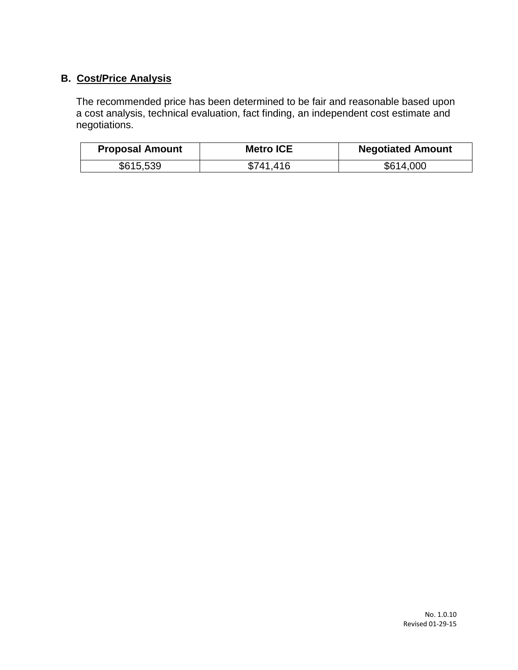## **B. Cost/Price Analysis**

The recommended price has been determined to be fair and reasonable based upon a cost analysis, technical evaluation, fact finding, an independent cost estimate and negotiations.

| <b>Proposal Amount</b> | <b>Metro ICE</b> | <b>Negotiated Amount</b> |
|------------------------|------------------|--------------------------|
| \$615,539              | \$741.416        | \$614,000                |